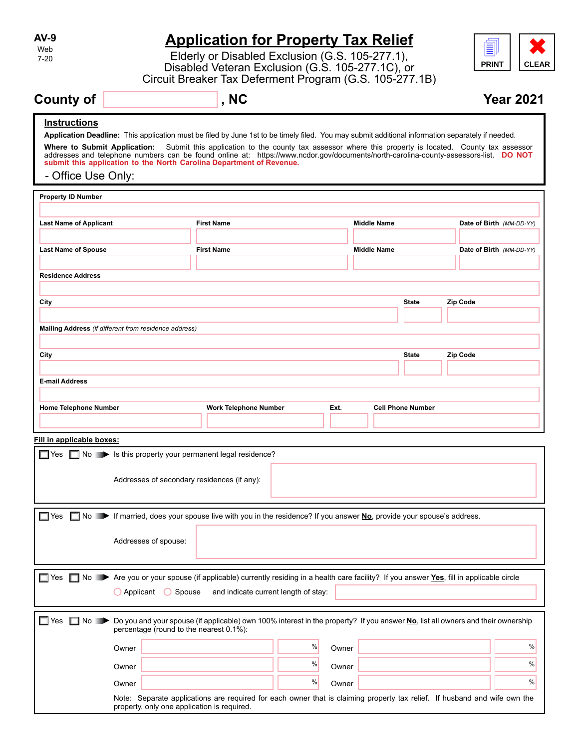| AV-9                                      |                                                                                                                                                                                                                                                                                                                                                                                                                                                                                                         | <b>Application for Property Tax Relief</b>                                                                                                                                                                 |   |       |                    |                          |                          |                  |
|-------------------------------------------|---------------------------------------------------------------------------------------------------------------------------------------------------------------------------------------------------------------------------------------------------------------------------------------------------------------------------------------------------------------------------------------------------------------------------------------------------------------------------------------------------------|------------------------------------------------------------------------------------------------------------------------------------------------------------------------------------------------------------|---|-------|--------------------|--------------------------|--------------------------|------------------|
| Web<br>$7-20$                             |                                                                                                                                                                                                                                                                                                                                                                                                                                                                                                         | <u>E</u><br>Elderly or Disabled Exclusion (G.S. 105-277.1),<br><b>PRINT</b><br><b>CLEAR</b><br>Disabled Veteran Exclusion (G.S. 105-277.1C), or<br>Circuit Breaker Tax Deferment Program (G.S. 105-277.1B) |   |       |                    |                          |                          |                  |
| <b>County of</b>                          |                                                                                                                                                                                                                                                                                                                                                                                                                                                                                                         | , NC                                                                                                                                                                                                       |   |       |                    |                          |                          | <b>Year 2021</b> |
| <u>Instructions</u><br>- Office Use Only: | Application Deadline: This application must be filed by June 1st to be timely filed. You may submit additional information separately if needed.<br>Where to Submit Application: Submit this application to the county tax assessor where this property is located. County tax assessor<br>addresses and telephone numbers can be found online at: https://www.ncdor.gov/documents/north-carolina-county-assessors-list. DO NOT<br>submit this application to the North Carolina Department of Revenue. |                                                                                                                                                                                                            |   |       |                    |                          |                          |                  |
| <b>Property ID Number</b>                 |                                                                                                                                                                                                                                                                                                                                                                                                                                                                                                         |                                                                                                                                                                                                            |   |       |                    |                          |                          |                  |
| <b>Last Name of Applicant</b>             |                                                                                                                                                                                                                                                                                                                                                                                                                                                                                                         | <b>First Name</b>                                                                                                                                                                                          |   |       | <b>Middle Name</b> |                          | Date of Birth (MM-DD-YY) |                  |
| <b>Last Name of Spouse</b>                |                                                                                                                                                                                                                                                                                                                                                                                                                                                                                                         | <b>First Name</b>                                                                                                                                                                                          |   |       | <b>Middle Name</b> |                          | Date of Birth (MM-DD-YY) |                  |
| <b>Residence Address</b>                  |                                                                                                                                                                                                                                                                                                                                                                                                                                                                                                         |                                                                                                                                                                                                            |   |       |                    |                          |                          |                  |
| City                                      |                                                                                                                                                                                                                                                                                                                                                                                                                                                                                                         |                                                                                                                                                                                                            |   |       |                    | State                    | Zip Code                 |                  |
|                                           |                                                                                                                                                                                                                                                                                                                                                                                                                                                                                                         |                                                                                                                                                                                                            |   |       |                    |                          |                          |                  |
|                                           | Mailing Address (if different from residence address)                                                                                                                                                                                                                                                                                                                                                                                                                                                   |                                                                                                                                                                                                            |   |       |                    |                          |                          |                  |
| City                                      |                                                                                                                                                                                                                                                                                                                                                                                                                                                                                                         |                                                                                                                                                                                                            |   |       |                    | <b>State</b>             | <b>Zip Code</b>          |                  |
|                                           |                                                                                                                                                                                                                                                                                                                                                                                                                                                                                                         |                                                                                                                                                                                                            |   |       |                    |                          |                          |                  |
| <b>E-mail Address</b>                     |                                                                                                                                                                                                                                                                                                                                                                                                                                                                                                         |                                                                                                                                                                                                            |   |       |                    |                          |                          |                  |
| <b>Home Telephone Number</b>              |                                                                                                                                                                                                                                                                                                                                                                                                                                                                                                         | <b>Work Telephone Number</b>                                                                                                                                                                               |   | Ext.  |                    | <b>Cell Phone Number</b> |                          |                  |
|                                           |                                                                                                                                                                                                                                                                                                                                                                                                                                                                                                         |                                                                                                                                                                                                            |   |       |                    |                          |                          |                  |
| Fill in applicable boxes:                 |                                                                                                                                                                                                                                                                                                                                                                                                                                                                                                         |                                                                                                                                                                                                            |   |       |                    |                          |                          |                  |
|                                           | ■ Yes ■ No → Is this property your permanent legal residence?                                                                                                                                                                                                                                                                                                                                                                                                                                           |                                                                                                                                                                                                            |   |       |                    |                          |                          |                  |
|                                           | Addresses of secondary residences (if any):                                                                                                                                                                                                                                                                                                                                                                                                                                                             |                                                                                                                                                                                                            |   |       |                    |                          |                          |                  |
| $\Box$ Yes                                | ■ No ■ If married, does your spouse live with you in the residence? If you answer No, provide your spouse's address.                                                                                                                                                                                                                                                                                                                                                                                    |                                                                                                                                                                                                            |   |       |                    |                          |                          |                  |
|                                           |                                                                                                                                                                                                                                                                                                                                                                                                                                                                                                         |                                                                                                                                                                                                            |   |       |                    |                          |                          |                  |
|                                           | Addresses of spouse:                                                                                                                                                                                                                                                                                                                                                                                                                                                                                    |                                                                                                                                                                                                            |   |       |                    |                          |                          |                  |
| $\Box$ Yes                                | No Are you or your spouse (if applicable) currently residing in a health care facility? If you answer Yes, fill in applicable circle<br>◯ Spouse<br>$\bigcirc$ Applicant                                                                                                                                                                                                                                                                                                                                | and indicate current length of stay:                                                                                                                                                                       |   |       |                    |                          |                          |                  |
|                                           |                                                                                                                                                                                                                                                                                                                                                                                                                                                                                                         |                                                                                                                                                                                                            |   |       |                    |                          |                          |                  |
| l⊟ Yes<br>$No \rightarrow$                | Do you and your spouse (if applicable) own 100% interest in the property? If you answer No, list all owners and their ownership<br>percentage (round to the nearest 0.1%):                                                                                                                                                                                                                                                                                                                              |                                                                                                                                                                                                            |   |       |                    |                          |                          |                  |
|                                           | Owner                                                                                                                                                                                                                                                                                                                                                                                                                                                                                                   |                                                                                                                                                                                                            | % | Owner |                    |                          |                          | %                |
|                                           | Owner                                                                                                                                                                                                                                                                                                                                                                                                                                                                                                   |                                                                                                                                                                                                            | % | Owner |                    |                          |                          | %                |
|                                           | Owner                                                                                                                                                                                                                                                                                                                                                                                                                                                                                                   |                                                                                                                                                                                                            | % | Owner |                    |                          |                          | %                |
|                                           | Note: Separate applications are required for each owner that is claiming property tax relief. If husband and wife own the<br>property, only one application is required.                                                                                                                                                                                                                                                                                                                                |                                                                                                                                                                                                            |   |       |                    |                          |                          |                  |

**AV-9** Web 7-20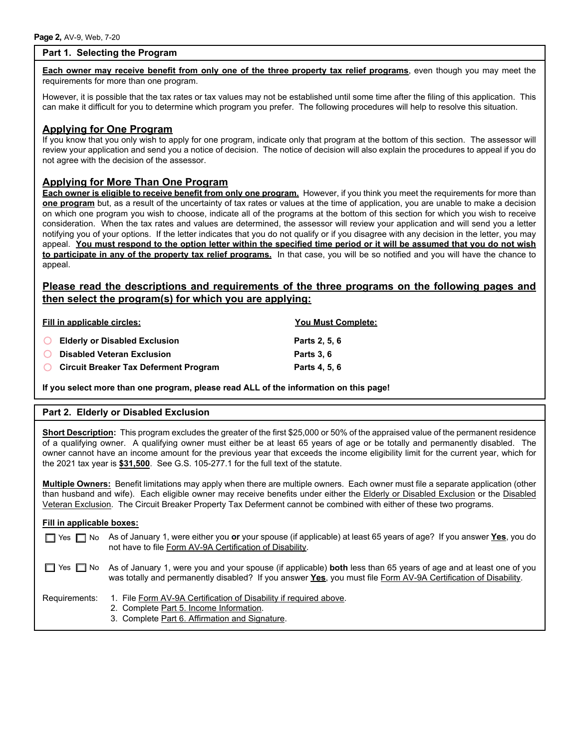## **Part 1. Selecting the Program**

**Each owner may receive benefit from only one of the three property tax relief programs**, even though you may meet the requirements for more than one program.

However, it is possible that the tax rates or tax values may not be established until some time after the filing of this application. This can make it difficult for you to determine which program you prefer. The following procedures will help to resolve this situation.

## **Applying for One Program**

If you know that you only wish to apply for one program, indicate only that program at the bottom of this section. The assessor will review your application and send you a notice of decision. The notice of decision will also explain the procedures to appeal if you do not agree with the decision of the assessor.

## **Applying for More Than One Program**

**Each owner is eligible to receive benefit from only one program.** However, if you think you meet the requirements for more than **one program** but, as a result of the uncertainty of tax rates or values at the time of application, you are unable to make a decision on which one program you wish to choose, indicate all of the programs at the bottom of this section for which you wish to receive consideration. When the tax rates and values are determined, the assessor will review your application and will send you a letter notifying you of your options. If the letter indicates that you do not qualify or if you disagree with any decision in the letter, you may appeal. **You must respond to the option letter within the specified time period or it will be assumed that you do not wish to participate in any of the property tax relief programs.** In that case, you will be so notified and you will have the chance to appeal.

# **Please read the descriptions and requirements of the three programs on the following pages and then select the program(s) for which you are applying:**

|          | Fill in applicable circles:                  | <b>You Must Complete:</b> |  |  |
|----------|----------------------------------------------|---------------------------|--|--|
|          | ◯ Elderly or Disabled Exclusion              | Parts 2, 5, 6             |  |  |
|          | <b>O</b> Disabled Veteran Exclusion          | <b>Parts 3.6</b>          |  |  |
| $\Omega$ | <b>Circuit Breaker Tax Deferment Program</b> | Parts 4, 5, 6             |  |  |

**If you select more than one program, please read ALL of the information on this page!**

## **Part 2. Elderly or Disabled Exclusion**

**Short Description:** This program excludes the greater of the first \$25,000 or 50% of the appraised value of the permanent residence of a qualifying owner. A qualifying owner must either be at least 65 years of age or be totally and permanently disabled. The owner cannot have an income amount for the previous year that exceeds the income eligibility limit for the current year, which for the 2021 tax year is **\$31,500**. See G.S. 105-277.1 for the full text of the statute.

**Multiple Owners:** Benefit limitations may apply when there are multiple owners. Each owner must file a separate application (other than husband and wife). Each eligible owner may receive benefits under either the Elderly or Disabled Exclusion or the Disabled Veteran Exclusion. The Circuit Breaker Property Tax Deferment cannot be combined with either of these two programs.

#### **Fill in applicable boxes:**

| T Yes Π No As of January 1, were either you or your spouse (if applicable) at least 65 years of age? If you answer Yes, you do |
|--------------------------------------------------------------------------------------------------------------------------------|
| not have to file Form AV-9A Certification of Disability.                                                                       |

Yes  $\Box$  No As of January 1, were you and your spouse (if applicable) **both** less than 65 years of age and at least one of you was totally and permanently disabled? If you answer **Yes**, you must file Form AV-9A Certification of Disability.

- Requirements: 1. File Form AV-9A Certification of Disability if required above.
	- 2. Complete Part 5. Income Information.
	- 3. Complete Part 6. Affirmation and Signature.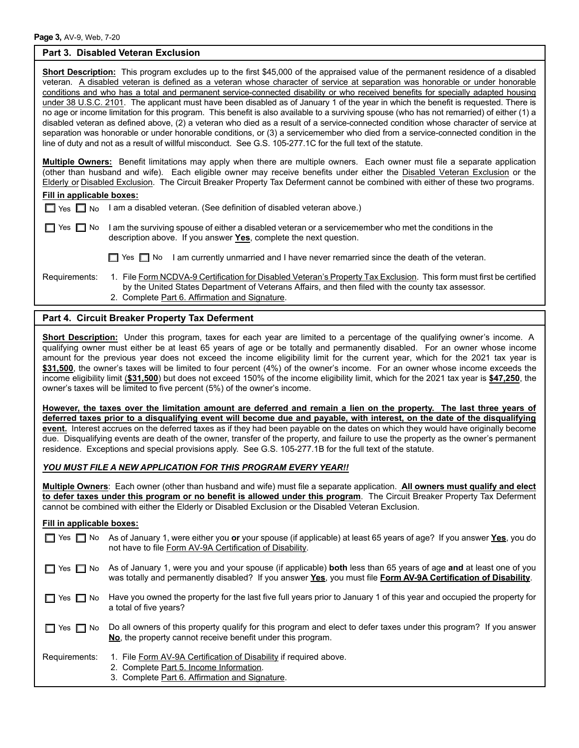### **Part 3. Disabled Veteran Exclusion**

| <b>Short Description:</b> This program excludes up to the first \$45,000 of the appraised value of the permanent residence of a disabled   |
|--------------------------------------------------------------------------------------------------------------------------------------------|
| veteran. A disabled veteran is defined as a veteran whose character of service at separation was honorable or under honorable              |
| conditions and who has a total and permanent service-connected disability or who received benefits for specially adapted housing           |
| under 38 U.S.C. 2101. The applicant must have been disabled as of January 1 of the year in which the benefit is requested. There is        |
| no age or income limitation for this program. This benefit is also available to a surviving spouse (who has not remarried) of either (1) a |
| disabled veteran as defined above, (2) a veteran who died as a result of a service-connected condition whose character of service at       |
| separation was honorable or under honorable conditions, or (3) a servicemember who died from a service-connected condition in the          |
| line of duty and not as a result of willful misconduct. See G.S. 105-277.1C for the full text of the statute.                              |
|                                                                                                                                            |
| <b>Multiple Owners:</b> Benefit limitations may apply when there are multiple owners. Each owner must file a separate application          |
| (other than husband and wife). Each eligible owner may receive benefits under either the Disabled Veteran Exclusion or the                 |
| Elderly or Disabled Exclusion. The Circuit Breaker Property Tax Deferment cannot be combined with either of these two programs.            |
| Eill in annlicable haven:                                                                                                                  |

|  |  | Fill in applicable boxes: |
|--|--|---------------------------|
|  |  |                           |

|  |  | $\Box$ Yes $\Box$ No I am a disabled veteran. (See definition of disabled veteran above.) |
|--|--|-------------------------------------------------------------------------------------------|
|--|--|-------------------------------------------------------------------------------------------|

| $\Box$ Yes $\Box$ No I am the surviving spouse of either a disabled veteran or a servicemember who met the conditions in the |
|------------------------------------------------------------------------------------------------------------------------------|
| description above. If you answer Yes, complete the next question.                                                            |

- 
- $\Box$  Yes  $\Box$  No I am currently unmarried and I have never remarried since the death of the veteran.
- Requirements: 1. File Form NCDVA-9 Certification for Disabled Veteran's Property Tax Exclusion. This form must first be certified by the United States Department of Veterans Affairs, and then filed with the county tax assessor. 2. Complete Part 6. Affirmation and Signature.

# **Part 4. Circuit Breaker Property Tax Deferment**

**Short Description:** Under this program, taxes for each year are limited to a percentage of the qualifying owner's income. A qualifying owner must either be at least 65 years of age or be totally and permanently disabled. For an owner whose income amount for the previous year does not exceed the income eligibility limit for the current year, which for the 2021 tax year is **\$31,500**, the owner's taxes will be limited to four percent (4%) of the owner's income. For an owner whose income exceeds the income eligibility limit (**\$31,500**) but does not exceed 150% of the income eligibility limit, which for the 2021 tax year is **\$47,250**, the owner's taxes will be limited to five percent (5%) of the owner's income.

**However, the taxes over the limitation amount are deferred and remain a lien on the property. The last three years of deferred taxes prior to a disqualifying event will become due and payable, with interest, on the date of the disqualifying event.** Interest accrues on the deferred taxes as if they had been payable on the dates on which they would have originally become due. Disqualifying events are death of the owner, transfer of the property, and failure to use the property as the owner's permanent residence. Exceptions and special provisions apply. See G.S. 105-277.1B for the full text of the statute.

# *YOU MUST FILE A NEW APPLICATION FOR THIS PROGRAM EVERY YEAR!!*

**Multiple Owners**: Each owner (other than husband and wife) must file a separate application. **All owners must qualify and elect to defer taxes under this program or no benefit is allowed under this program**. The Circuit Breaker Property Tax Deferment cannot be combined with either the Elderly or Disabled Exclusion or the Disabled Veteran Exclusion.

# **Fill in applicable boxes:**

| Yes $\Box$ No        | As of January 1, were either you or your spouse (if applicable) at least 65 years of age? If you answer Yes, you do<br>not have to file Form AV-9A Certification of Disability.                                                    |
|----------------------|------------------------------------------------------------------------------------------------------------------------------------------------------------------------------------------------------------------------------------|
| $\Box$ Yes $\Box$ No | As of January 1, were you and your spouse (if applicable) both less than 65 years of age and at least one of you<br>was totally and permanently disabled? If you answer Yes, you must file Form AV-9A Certification of Disability. |
| $\Box$ Yes $\Box$ No | Have you owned the property for the last five full years prior to January 1 of this year and occupied the property for<br>a total of five years?                                                                                   |
| $\Box$ Yes $\Box$ No | Do all owners of this property qualify for this program and elect to defer taxes under this program? If you answer<br>No, the property cannot receive benefit under this program.                                                  |
| Requirements:        | 1. File Form AV-9A Certification of Disability if required above.<br>2. Complete Part 5. Income Information.<br>3. Complete Part 6. Affirmation and Signature.                                                                     |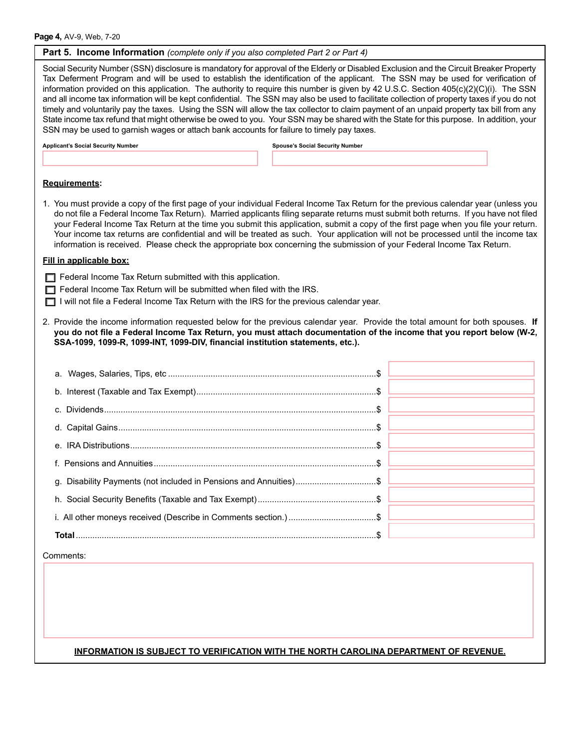Social Security Number (SSN) disclosure is mandatory for approval of the Elderly or Disabled Exclusion and the Circuit Breaker Property Tax Deferment Program and will be used to establish the identification of the applicant. The SSN may be used for verification of information provided on this application. The authority to require this number is given by 42 U.S.C. Section 405(c)(2)(C)(i). The SSN and all income tax information will be kept confidential. The SSN may also be used to facilitate collection of property taxes if you do not timely and voluntarily pay the taxes. Using the SSN will allow the tax collector to claim payment of an unpaid property tax bill from any State income tax refund that might otherwise be owed to you. Your SSN may be shared with the State for this purpose. In addition, your SSN may be used to garnish wages or attach bank accounts for failure to timely pay taxes. **Applicant's Social Security Number Spouse's Social Security Number**

#### **Requirements:**

1. You must provide a copy of the first page of your individual Federal Income Tax Return for the previous calendar year (unless you do not file a Federal Income Tax Return). Married applicants filing separate returns must submit both returns. If you have not filed your Federal Income Tax Return at the time you submit this application, submit a copy of the first page when you file your return. Your income tax returns are confidential and will be treated as such. Your application will not be processed until the income tax information is received. Please check the appropriate box concerning the submission of your Federal Income Tax Return.

#### **Fill in applicable box:**

- $\Box$  Federal Income Tax Return submitted with this application.
- $\Box$  Federal Income Tax Return will be submitted when filed with the IRS.
- $\Box$  I will not file a Federal Income Tax Return with the IRS for the previous calendar year.
- 2. Provide the income information requested below for the previous calendar year. Provide the total amount for both spouses. **If you do not file a Federal Income Tax Return, you must attach documentation of the income that you report below (W-2, SSA-1099, 1099-R, 1099-INT, 1099-DIV, financial institution statements, etc.).**

| g. Disability Payments (not included in Pensions and Annuities)\$ |  |
|-------------------------------------------------------------------|--|
|                                                                   |  |
|                                                                   |  |
|                                                                   |  |

#### Comments:

## **INFORMATION IS SUBJECT TO VERIFICATION WITH THE NORTH CAROLINA DEPARTMENT OF REVENUE.**